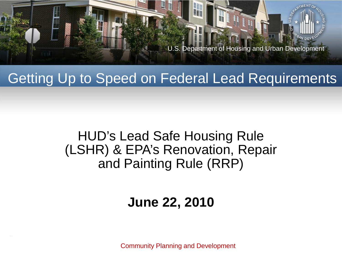

#### Getting Up to Speed on Federal Lead Requirements

#### HUD's Lead Safe Housing Rule (LSHR) & EPA's Renovation, Repair and Painting Rule (RRP)

#### **June 22, 2010**

Community Planning and Development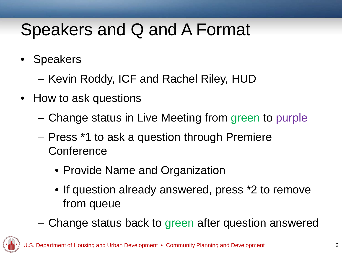### Speakers and Q and A Format

- **Speakers** 
	- Kevin Roddy, ICF and Rachel Riley, HUD
- How to ask questions
	- Change status in Live Meeting from green to purple
	- Press \*1 to ask a question through Premiere **Conference** 
		- Provide Name and Organization
		- If question already answered, press \*2 to remove from queue
	- Change status back to green after question answered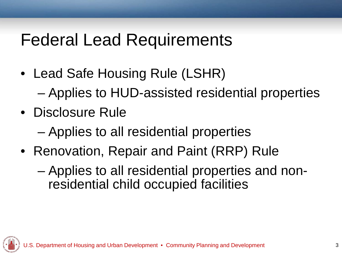#### Federal Lead Requirements

- Lead Safe Housing Rule (LSHR) – Applies to HUD-assisted residential properties
- Disclosure Rule
	- Applies to all residential properties
- Renovation, Repair and Paint (RRP) Rule
	- Applies to all residential properties and nonresidential child occupied facilities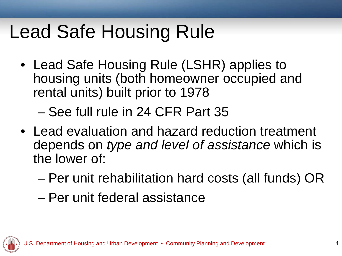# Lead Safe Housing Rule

• Lead Safe Housing Rule (LSHR) applies to housing units (both homeowner occupied and rental units) built prior to 1978

– See full rule in 24 CFR Part 35

- Lead evaluation and hazard reduction treatment depends on *type and level of assistance* which is the lower of:
	- Per unit rehabilitation hard costs (all funds) OR
	- Per unit federal assistance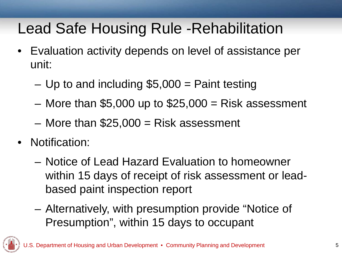#### Lead Safe Housing Rule -Rehabilitation

- Evaluation activity depends on level of assistance per unit:
	- $-$  Up to and including \$5,000 = Paint testing
	- $-$  More than \$5,000 up to \$25,000 = Risk assessment
	- $-$  More than \$25,000 = Risk assessment
- Notification:
	- Notice of Lead Hazard Evaluation to homeowner within 15 days of receipt of risk assessment or leadbased paint inspection report
	- Alternatively, with presumption provide "Notice of Presumption", within 15 days to occupant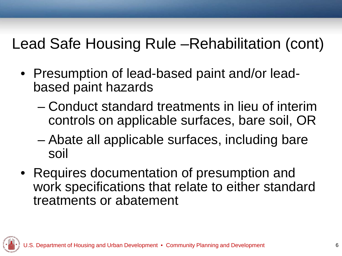#### Lead Safe Housing Rule –Rehabilitation (cont)

- Presumption of lead-based paint and/or leadbased paint hazards
	- Conduct standard treatments in lieu of interim controls on applicable surfaces, bare soil, OR
	- Abate all applicable surfaces, including bare soil
- Requires documentation of presumption and work specifications that relate to either standard treatments or abatement

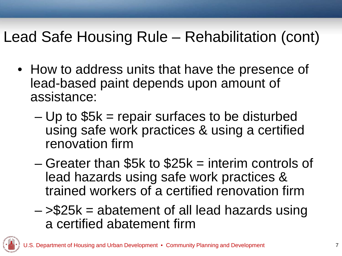#### Lead Safe Housing Rule – Rehabilitation (cont)

- How to address units that have the presence of lead-based paint depends upon amount of assistance:
	- $-$  Up to  $$5k$  = repair surfaces to be disturbed using safe work practices & using a certified renovation firm
	- Greater than \$5k to \$25k = interim controls of lead hazards using safe work practices & trained workers of a certified renovation firm
	- $-$  > \$25k = abatement of all lead hazards using a certified abatement firm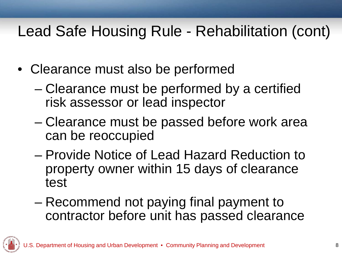#### Lead Safe Housing Rule - Rehabilitation (cont)

- Clearance must also be performed
	- Clearance must be performed by a certified risk assessor or lead inspector
	- Clearance must be passed before work area can be reoccupied
	- Provide Notice of Lead Hazard Reduction to property owner within 15 days of clearance test
	- Recommend not paying final payment to contractor before unit has passed clearance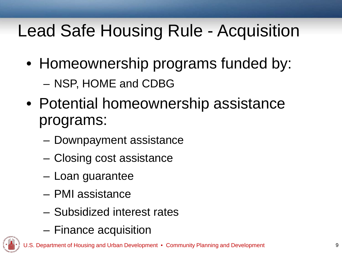# Lead Safe Housing Rule - Acquisition

- Homeownership programs funded by: – NSP, HOME and CDBG
- Potential homeownership assistance programs:
	- Downpayment assistance
	- Closing cost assistance
	- Loan guarantee
	- PMI assistance
	- Subsidized interest rates
	- Finance acquisition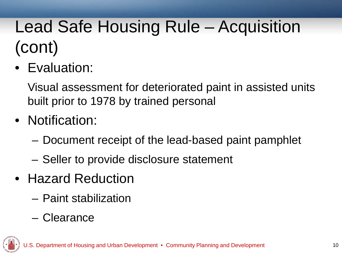# Lead Safe Housing Rule – Acquisition (cont)

• Evaluation:

Visual assessment for deteriorated paint in assisted units built prior to 1978 by trained personal

- Notification:
	- Document receipt of the lead-based paint pamphlet
	- Seller to provide disclosure statement
- Hazard Reduction
	- Paint stabilization
	- Clearance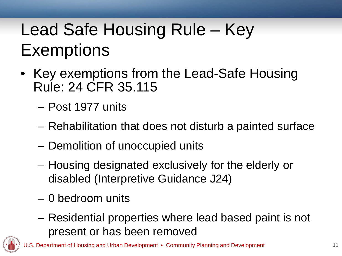# Lead Safe Housing Rule – Key **Exemptions**

- Key exemptions from the Lead-Safe Housing Rule: 24 CFR 35.115
	- Post 1977 units
	- Rehabilitation that does not disturb a painted surface
	- Demolition of unoccupied units
	- Housing designated exclusively for the elderly or disabled (Interpretive Guidance J24)
	- 0 bedroom units
	- Residential properties where lead based paint is not present or has been removed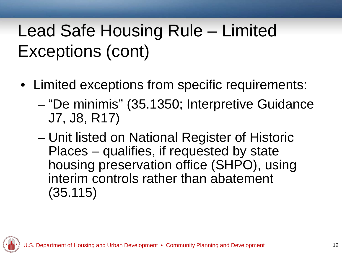# Lead Safe Housing Rule – Limited Exceptions (cont)

- Limited exceptions from specific requirements:
	- "De minimis" (35.1350; Interpretive Guidance J7, J8, R17)
	- Unit listed on National Register of Historic Places – qualifies, if requested by state housing preservation office (SHPO), using interim controls rather than abatement (35.115)

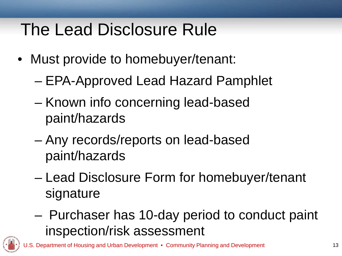#### The Lead Disclosure Rule

- Must provide to homebuyer/tenant:
	- EPA-Approved Lead Hazard Pamphlet
	- Known info concerning lead-based paint/hazards
	- Any records/reports on lead-based paint/hazards
	- Lead Disclosure Form for homebuyer/tenant signature
	- Purchaser has 10-day period to conduct paint inspection/risk assessment

of Housing and Urban Development • Community Planning and Development 13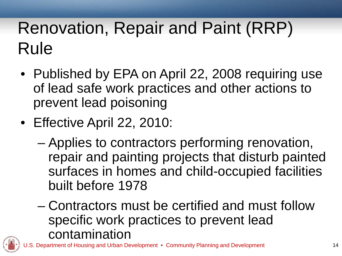# Renovation, Repair and Paint (RRP) Rule

- Published by EPA on April 22, 2008 requiring use of lead safe work practices and other actions to prevent lead poisoning
- Effective April 22, 2010:
	- Applies to contractors performing renovation, repair and painting projects that disturb painted surfaces in homes and child-occupied facilities built before 1978
	- Contractors must be certified and must follow specific work practices to prevent lead contamination

Housing and Urban Development • Community Planning and Development 14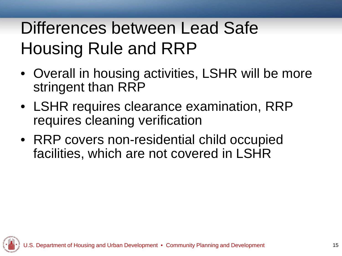# Differences between Lead Safe Housing Rule and RRP

- Overall in housing activities, LSHR will be more stringent than RRP
- LSHR requires clearance examination, RRP requires cleaning verification
- RRP covers non-residential child occupied facilities, which are not covered in LSHR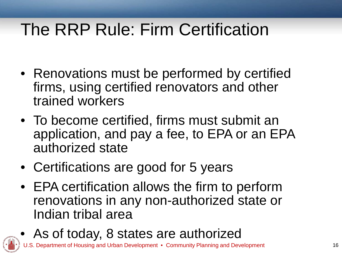#### The RRP Rule: Firm Certification

- Renovations must be performed by certified firms, using certified renovators and other trained workers
- To become certified, firms must submit an application, and pay a fee, to EPA or an EPA authorized state
- Certifications are good for 5 years
- EPA certification allows the firm to perform renovations in any non-authorized state or Indian tribal area
- As of today, 8 states are authorized of Housing and Urban Development • Community Planning and Development 16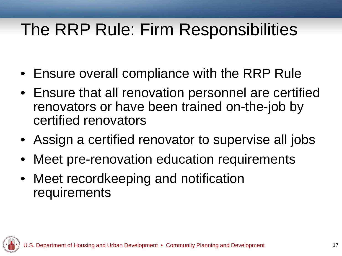#### The RRP Rule: Firm Responsibilities

- Ensure overall compliance with the RRP Rule
- Ensure that all renovation personnel are certified renovators or have been trained on-the-job by certified renovators
- Assign a certified renovator to supervise all jobs
- Meet pre-renovation education requirements
- Meet recordkeeping and notification requirements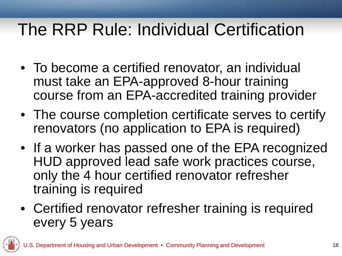#### The RRP Rule: Individual Certification

- To become a certified renovator, an individual must take an EPA-approved 8-hour training course from an EPA-accredited training provider
- The course completion certificate serves to certify renovators (no application to EPA is required)
- If a worker has passed one of the EPA recognized HUD approved lead safe work practices course, only the 4 hour certified renovator refresher training is required
- Certified renovator refresher training is required every 5 years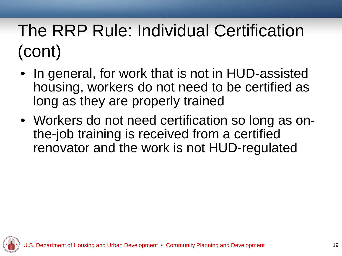# The RRP Rule: Individual Certification (cont)

- In general, for work that is not in HUD-assisted housing, workers do not need to be certified as long as they are properly trained
- Workers do not need certification so long as onthe-job training is received from a certified renovator and the work is not HUD-regulated

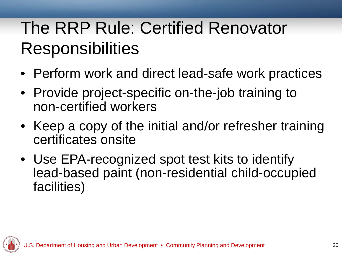# The RRP Rule: Certified Renovator **Responsibilities**

- Perform work and direct lead-safe work practices
- Provide project-specific on-the-job training to non-certified workers
- Keep a copy of the initial and/or refresher training certificates onsite
- Use EPA-recognized spot test kits to identify lead-based paint (non-residential child-occupied facilities)

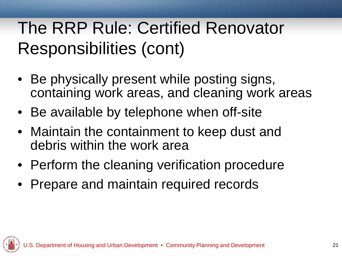## The RRP Rule: Certified Renovator Responsibilities (cont)

- Be physically present while posting signs, containing work areas, and cleaning work areas
- Be available by telephone when off-site
- Maintain the containment to keep dust and debris within the work area
- Perform the cleaning verification procedure
- Prepare and maintain required records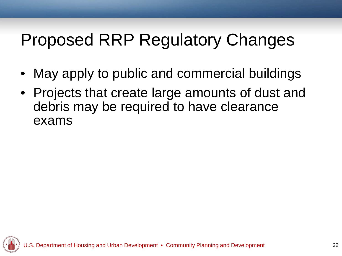## Proposed RRP Regulatory Changes

- May apply to public and commercial buildings
- Projects that create large amounts of dust and debris may be required to have clearance exams

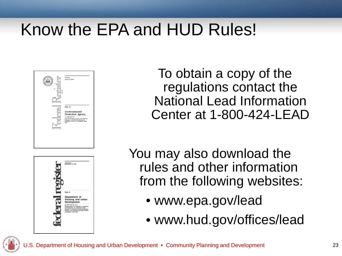### Know the EPA and HUD Rules!





To obtain a copy of the regulations contact the National Lead Information Center at 1-800-424-LEAD

You may also download the rules and other information from the following websites:

- www.epa.gov/lead
- www.hud.gov/offices/lead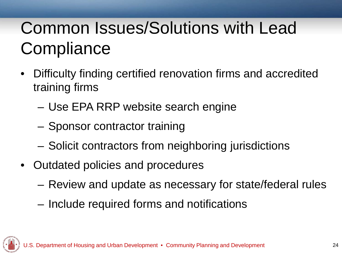# Common Issues/Solutions with Lead **Compliance**

- Difficulty finding certified renovation firms and accredited training firms
	- Use EPA RRP website search engine
	- Sponsor contractor training
	- Solicit contractors from neighboring jurisdictions
- Outdated policies and procedures
	- Review and update as necessary for state/federal rules
	- Include required forms and notifications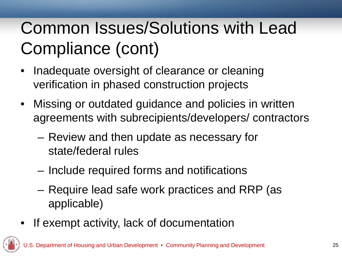# Common Issues/Solutions with Lead Compliance (cont)

- Inadequate oversight of clearance or cleaning verification in phased construction projects
- Missing or outdated guidance and policies in written agreements with subrecipients/developers/ contractors
	- Review and then update as necessary for state/federal rules
	- Include required forms and notifications
	- Require lead safe work practices and RRP (as applicable)
- If exempt activity, lack of documentation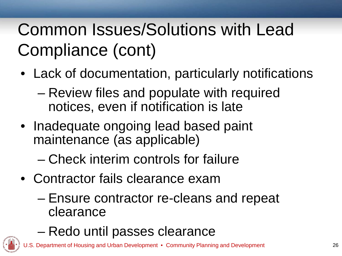# Common Issues/Solutions with Lead Compliance (cont)

- Lack of documentation, particularly notifications
	- Review files and populate with required notices, even if notification is late
- Inadequate ongoing lead based paint maintenance (as applicable)

– Check interim controls for failure

- Contractor fails clearance exam
	- Ensure contractor re-cleans and repeat clearance
	- Redo until passes clearance

Housing and Urban Development • Community Planning and Development 26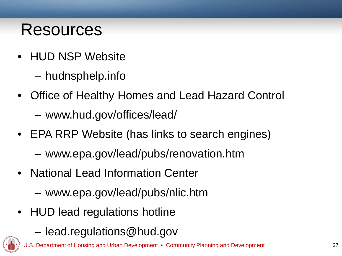#### Resources

- HUD NSP Website
	- hudnsphelp.info
- Office of Healthy Homes and Lead Hazard Control
	- www.hud.gov/offices/lead/
- EPA RRP Website (has links to search engines)
	- www.epa.gov/lead/pubs/renovation.htm
- National Lead Information Center
	- www.epa.gov/lead/pubs/nlic.htm
- HUD lead regulations hotline
	- lead.regulations@hud.gov